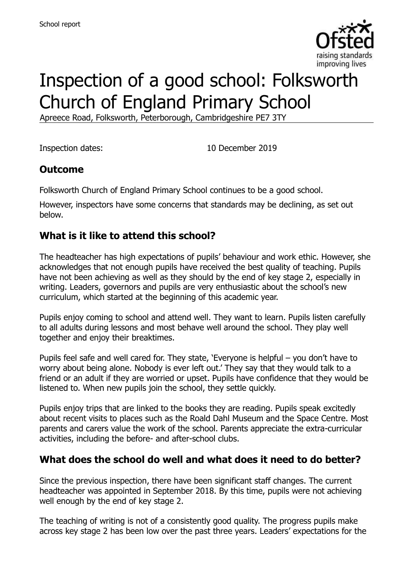

# Inspection of a good school: Folksworth Church of England Primary School

Apreece Road, Folksworth, Peterborough, Cambridgeshire PE7 3TY

Inspection dates: 10 December 2019

#### **Outcome**

Folksworth Church of England Primary School continues to be a good school.

However, inspectors have some concerns that standards may be declining, as set out below.

#### **What is it like to attend this school?**

The headteacher has high expectations of pupils' behaviour and work ethic. However, she acknowledges that not enough pupils have received the best quality of teaching. Pupils have not been achieving as well as they should by the end of key stage 2, especially in writing. Leaders, governors and pupils are very enthusiastic about the school's new curriculum, which started at the beginning of this academic year.

Pupils enjoy coming to school and attend well. They want to learn. Pupils listen carefully to all adults during lessons and most behave well around the school. They play well together and enjoy their breaktimes.

Pupils feel safe and well cared for. They state, 'Everyone is helpful – you don't have to worry about being alone. Nobody is ever left out.' They say that they would talk to a friend or an adult if they are worried or upset. Pupils have confidence that they would be listened to. When new pupils join the school, they settle quickly.

Pupils enjoy trips that are linked to the books they are reading. Pupils speak excitedly about recent visits to places such as the Roald Dahl Museum and the Space Centre. Most parents and carers value the work of the school. Parents appreciate the extra-curricular activities, including the before- and after-school clubs.

#### **What does the school do well and what does it need to do better?**

Since the previous inspection, there have been significant staff changes. The current headteacher was appointed in September 2018. By this time, pupils were not achieving well enough by the end of key stage 2.

The teaching of writing is not of a consistently good quality. The progress pupils make across key stage 2 has been low over the past three years. Leaders' expectations for the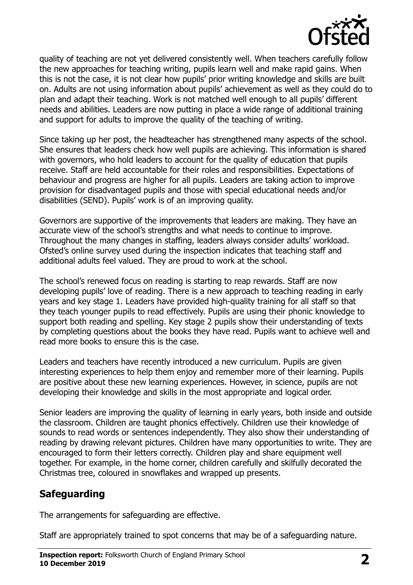

quality of teaching are not yet delivered consistently well. When teachers carefully follow the new approaches for teaching writing, pupils learn well and make rapid gains. When this is not the case, it is not clear how pupils' prior writing knowledge and skills are built on. Adults are not using information about pupils' achievement as well as they could do to plan and adapt their teaching. Work is not matched well enough to all pupils' different needs and abilities. Leaders are now putting in place a wide range of additional training and support for adults to improve the quality of the teaching of writing.

Since taking up her post, the headteacher has strengthened many aspects of the school. She ensures that leaders check how well pupils are achieving. This information is shared with governors, who hold leaders to account for the quality of education that pupils receive. Staff are held accountable for their roles and responsibilities. Expectations of behaviour and progress are higher for all pupils. Leaders are taking action to improve provision for disadvantaged pupils and those with special educational needs and/or disabilities (SEND). Pupils' work is of an improving quality.

Governors are supportive of the improvements that leaders are making. They have an accurate view of the school's strengths and what needs to continue to improve. Throughout the many changes in staffing, leaders always consider adults' workload. Ofsted's online survey used during the inspection indicates that teaching staff and additional adults feel valued. They are proud to work at the school.

The school's renewed focus on reading is starting to reap rewards. Staff are now developing pupils' love of reading. There is a new approach to teaching reading in early years and key stage 1. Leaders have provided high-quality training for all staff so that they teach younger pupils to read effectively. Pupils are using their phonic knowledge to support both reading and spelling. Key stage 2 pupils show their understanding of texts by completing questions about the books they have read. Pupils want to achieve well and read more books to ensure this is the case.

Leaders and teachers have recently introduced a new curriculum. Pupils are given interesting experiences to help them enjoy and remember more of their learning. Pupils are positive about these new learning experiences. However, in science, pupils are not developing their knowledge and skills in the most appropriate and logical order.

Senior leaders are improving the quality of learning in early years, both inside and outside the classroom. Children are taught phonics effectively. Children use their knowledge of sounds to read words or sentences independently. They also show their understanding of reading by drawing relevant pictures. Children have many opportunities to write. They are encouraged to form their letters correctly. Children play and share equipment well together. For example, in the home corner, children carefully and skilfully decorated the Christmas tree, coloured in snowflakes and wrapped up presents.

#### **Safeguarding**

The arrangements for safeguarding are effective.

Staff are appropriately trained to spot concerns that may be of a safeguarding nature.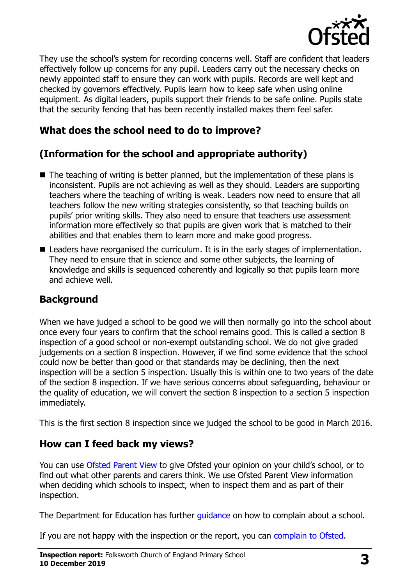

They use the school's system for recording concerns well. Staff are confident that leaders effectively follow up concerns for any pupil. Leaders carry out the necessary checks on newly appointed staff to ensure they can work with pupils. Records are well kept and checked by governors effectively. Pupils learn how to keep safe when using online equipment. As digital leaders, pupils support their friends to be safe online. Pupils state that the security fencing that has been recently installed makes them feel safer.

#### **What does the school need to do to improve?**

# **(Information for the school and appropriate authority)**

- $\blacksquare$  The teaching of writing is better planned, but the implementation of these plans is inconsistent. Pupils are not achieving as well as they should. Leaders are supporting teachers where the teaching of writing is weak. Leaders now need to ensure that all teachers follow the new writing strategies consistently, so that teaching builds on pupils' prior writing skills. They also need to ensure that teachers use assessment information more effectively so that pupils are given work that is matched to their abilities and that enables them to learn more and make good progress.
- Leaders have reorganised the curriculum. It is in the early stages of implementation. They need to ensure that in science and some other subjects, the learning of knowledge and skills is sequenced coherently and logically so that pupils learn more and achieve well.

#### **Background**

When we have judged a school to be good we will then normally go into the school about once every four years to confirm that the school remains good. This is called a section 8 inspection of a good school or non-exempt outstanding school. We do not give graded judgements on a section 8 inspection. However, if we find some evidence that the school could now be better than good or that standards may be declining, then the next inspection will be a section 5 inspection. Usually this is within one to two years of the date of the section 8 inspection. If we have serious concerns about safeguarding, behaviour or the quality of education, we will convert the section 8 inspection to a section 5 inspection immediately.

This is the first section 8 inspection since we judged the school to be good in March 2016.

#### **How can I feed back my views?**

You can use [Ofsted Parent View](https://parentview.ofsted.gov.uk/) to give Ofsted your opinion on your child's school, or to find out what other parents and carers think. We use Ofsted Parent View information when deciding which schools to inspect, when to inspect them and as part of their inspection.

The Department for Education has further quidance on how to complain about a school.

If you are not happy with the inspection or the report, you can [complain to Ofsted.](https://www.gov.uk/complain-ofsted-report)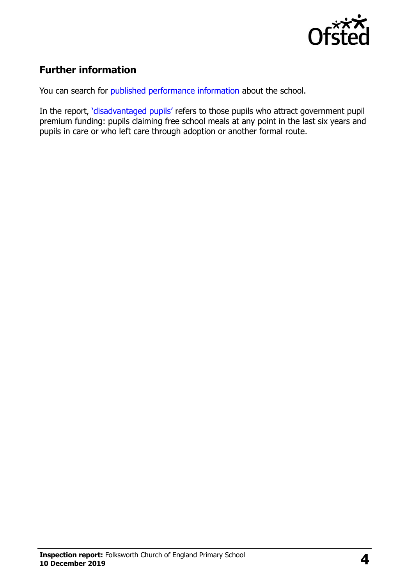

### **Further information**

You can search for [published performance information](http://www.compare-school-performance.service.gov.uk/) about the school.

In the report, '[disadvantaged pupils](http://www.gov.uk/guidance/pupil-premium-information-for-schools-and-alternative-provision-settings)' refers to those pupils who attract government pupil premium funding: pupils claiming free school meals at any point in the last six years and pupils in care or who left care through adoption or another formal route.

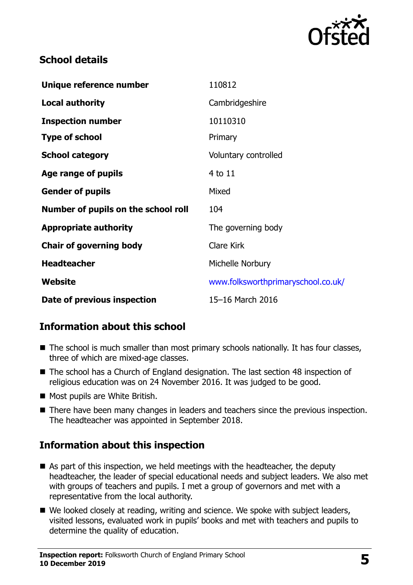

#### **School details**

| Unique reference number             | 110812                             |
|-------------------------------------|------------------------------------|
| <b>Local authority</b>              | Cambridgeshire                     |
| <b>Inspection number</b>            | 10110310                           |
| <b>Type of school</b>               | Primary                            |
| <b>School category</b>              | Voluntary controlled               |
| Age range of pupils                 | 4 to 11                            |
| <b>Gender of pupils</b>             | Mixed                              |
| Number of pupils on the school roll | 104                                |
| <b>Appropriate authority</b>        | The governing body                 |
| <b>Chair of governing body</b>      | <b>Clare Kirk</b>                  |
| <b>Headteacher</b>                  | Michelle Norbury                   |
| Website                             | www.folksworthprimaryschool.co.uk/ |
| Date of previous inspection         | 15-16 March 2016                   |

#### **Information about this school**

- The school is much smaller than most primary schools nationally. It has four classes, three of which are mixed-age classes.
- The school has a Church of England designation. The last section 48 inspection of religious education was on 24 November 2016. It was judged to be good.
- Most pupils are White British.
- There have been many changes in leaders and teachers since the previous inspection. The headteacher was appointed in September 2018.

# **Information about this inspection**

- As part of this inspection, we held meetings with the headteacher, the deputy headteacher, the leader of special educational needs and subject leaders. We also met with groups of teachers and pupils. I met a group of governors and met with a representative from the local authority.
- We looked closely at reading, writing and science. We spoke with subject leaders, visited lessons, evaluated work in pupils' books and met with teachers and pupils to determine the quality of education.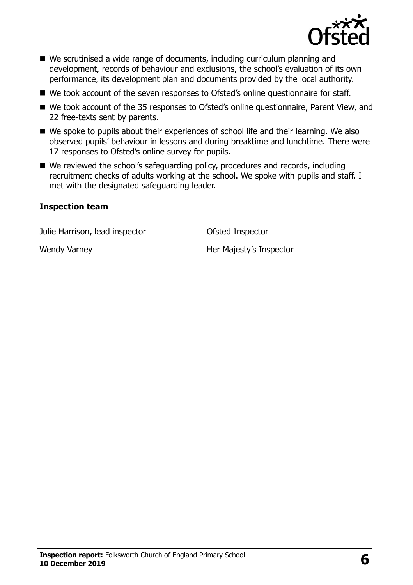

- We scrutinised a wide range of documents, including curriculum planning and development, records of behaviour and exclusions, the school's evaluation of its own performance, its development plan and documents provided by the local authority.
- We took account of the seven responses to Ofsted's online questionnaire for staff.
- We took account of the 35 responses to Ofsted's online questionnaire, Parent View, and 22 free-texts sent by parents.
- We spoke to pupils about their experiences of school life and their learning. We also observed pupils' behaviour in lessons and during breaktime and lunchtime. There were 17 responses to Ofsted's online survey for pupils.
- We reviewed the school's safeguarding policy, procedures and records, including recruitment checks of adults working at the school. We spoke with pupils and staff. I met with the designated safeguarding leader.

#### **Inspection team**

Julie Harrison, lead inspector Ofsted Inspector

Wendy Varney New York Christian Majesty's Inspector